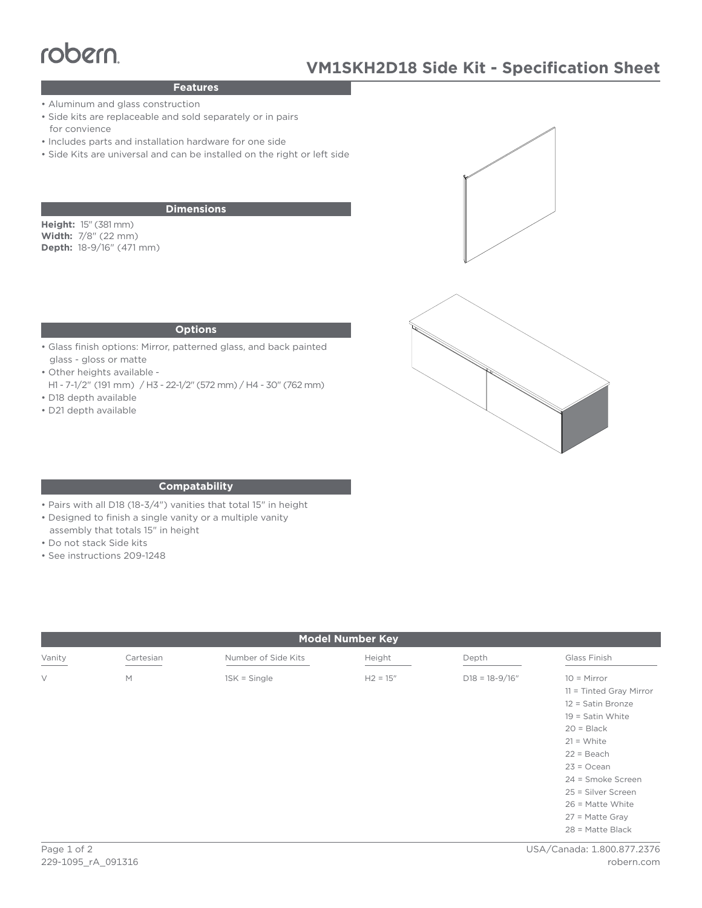# $\frac{1}{2}$

# **Features**

- Aluminum and glass construction
- Side kits are replaceable and sold separately or in pairs for convience
- Includes parts and installation hardware for one side
- Side Kits are universal and can be installed on the right or left side

## **Dimensions**

**Height:** 15" (381 mm) **Width:** 7/8" (22 mm) **Depth:** 18-9/16" (471 mm)





#### **Options**

- Glass finish options: Mirror, patterned glass, and back painted glass - gloss or matte
- Other heights available -
- H1 7-1/2" (191 mm) / H3 22-1/2" (572 mm) / H4 30" (762 mm) • D18 depth available
- D21 depth available

### **Compatability**

- Pairs with all D18 (18-3/4") vanities that total 15" in height
- Designed to finish a single vanity or a multiple vanity
- assembly that totals 15" in height
- Do not stack Side kits
- See instructions 209-1248

| <b>Model Number Key</b> |           |                     |            |                    |                                                                                                                                                                                                  |
|-------------------------|-----------|---------------------|------------|--------------------|--------------------------------------------------------------------------------------------------------------------------------------------------------------------------------------------------|
| Vanity                  | Cartesian | Number of Side Kits | Height     | Depth              | Glass Finish                                                                                                                                                                                     |
| $\vee$                  | M         | $1SK = Single$      | $H2 = 15"$ | $D18 = 18 - 9/16"$ | $10 =$ Mirror<br>$11 =$ Tinted Gray Mirror<br>12 = Satin Bronze<br>$19 =$ Satin White<br>$20 = Black$<br>$21 = White$<br>$22 = Beach$<br>$23 = Ocean$<br>24 = Smoke Screen<br>25 = Silver Screen |
|                         |           |                     |            |                    | $26$ = Matte White<br>$27$ = Matte Gray<br>$28$ = Matte Black                                                                                                                                    |